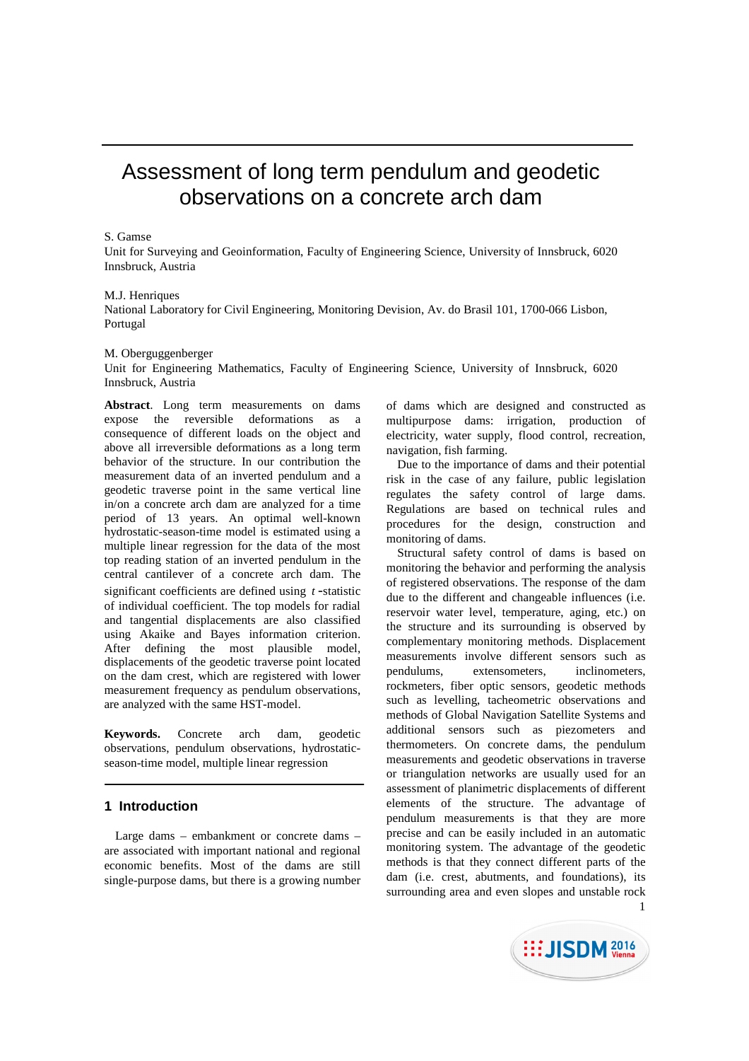# Assessment of long term pendulum and geodetic observations on a concrete arch dam

#### S. Gamse

Unit for Surveying and Geoinformation, Faculty of Engineering Science, University of Innsbruck, 6020 Innsbruck, Austria

#### M.J. Henriques

National Laboratory for Civil Engineering, Monitoring Devision, Av. do Brasil 101, 1700-066 Lisbon, Portugal

#### M. Oberguggenberger

Unit for Engineering Mathematics, Faculty of Engineering Science, University of Innsbruck, 6020 Innsbruck, Austria

**Abstract**. Long term measurements on dams expose the reversible deformations as a consequence of different loads on the object and above all irreversible deformations as a long term behavior of the structure. In our contribution the measurement data of an inverted pendulum and a geodetic traverse point in the same vertical line in/on a concrete arch dam are analyzed for a time period of 13 years. An optimal well-known hydrostatic-season-time model is estimated using a multiple linear regression for the data of the most top reading station of an inverted pendulum in the central cantilever of a concrete arch dam. The significant coefficients are defined using *t* -statistic of individual coefficient. The top models for radial and tangential displacements are also classified using Akaike and Bayes information criterion. After defining the most plausible model, displacements of the geodetic traverse point located on the dam crest, which are registered with lower measurement frequency as pendulum observations, are analyzed with the same HST-model.

**Keywords.** Concrete arch dam, geodetic observations, pendulum observations, hydrostaticseason-time model, multiple linear regression

# **1 Introduction**

Large dams – embankment or concrete dams – are associated with important national and regional economic benefits. Most of the dams are still single-purpose dams, but there is a growing number of dams which are designed and constructed as multipurpose dams: irrigation, production of electricity, water supply, flood control, recreation, navigation, fish farming.

Due to the importance of dams and their potential risk in the case of any failure, public legislation regulates the safety control of large dams. Regulations are based on technical rules and procedures for the design, construction and monitoring of dams.

1 Structural safety control of dams is based on monitoring the behavior and performing the analysis of registered observations. The response of the dam due to the different and changeable influences (i.e. reservoir water level, temperature, aging, etc.) on the structure and its surrounding is observed by complementary monitoring methods. Displacement measurements involve different sensors such as pendulums, extensometers, inclinometers, rockmeters, fiber optic sensors, geodetic methods such as levelling, tacheometric observations and methods of Global Navigation Satellite Systems and additional sensors such as piezometers and thermometers. On concrete dams, the pendulum measurements and geodetic observations in traverse or triangulation networks are usually used for an assessment of planimetric displacements of different elements of the structure. The advantage of pendulum measurements is that they are more precise and can be easily included in an automatic monitoring system. The advantage of the geodetic methods is that they connect different parts of the dam (i.e. crest, abutments, and foundations), its surrounding area and even slopes and unstable rock

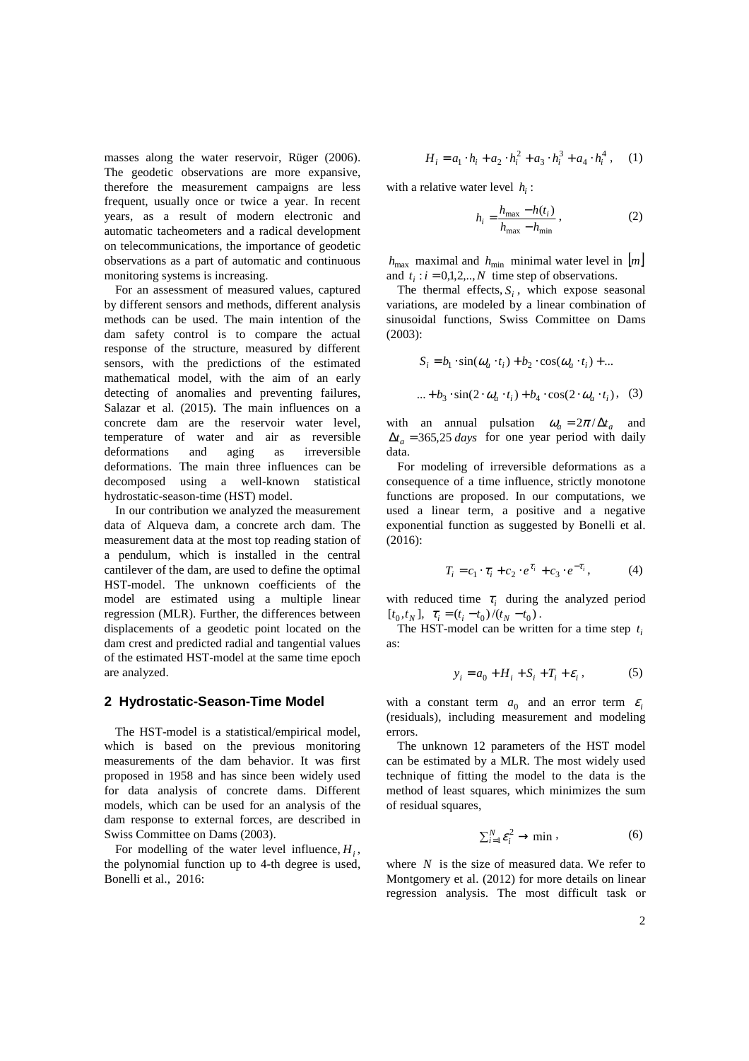masses along the water reservoir, Rüger (2006). The geodetic observations are more expansive, therefore the measurement campaigns are less frequent, usually once or twice a year. In recent years, as a result of modern electronic and automatic tacheometers and a radical development on telecommunications, the importance of geodetic observations as a part of automatic and continuous monitoring systems is increasing.

For an assessment of measured values, captured by different sensors and methods, different analysis methods can be used. The main intention of the dam safety control is to compare the actual response of the structure, measured by different sensors, with the predictions of the estimated mathematical model, with the aim of an early detecting of anomalies and preventing failures, Salazar et al. (2015). The main influences on a concrete dam are the reservoir water level, temperature of water and air as reversible deformations and aging as irreversible deformations. The main three influences can be decomposed using a well-known statistical hydrostatic-season-time (HST) model.

In our contribution we analyzed the measurement data of Alqueva dam, a concrete arch dam. The measurement data at the most top reading station of a pendulum, which is installed in the central cantilever of the dam, are used to define the optimal HST-model. The unknown coefficients of the model are estimated using a multiple linear regression (MLR). Further, the differences between displacements of a geodetic point located on the dam crest and predicted radial and tangential values of the estimated HST-model at the same time epoch are analyzed.

### **2 Hydrostatic-Season-Time Model**

The HST-model is a statistical/empirical model, which is based on the previous monitoring measurements of the dam behavior. It was first proposed in 1958 and has since been widely used for data analysis of concrete dams. Different models, which can be used for an analysis of the dam response to external forces, are described in Swiss Committee on Dams (2003).

For modelling of the water level influence,  $H_i$ , the polynomial function up to 4-th degree is used, Bonelli et al., 2016:

$$
H_i = a_1 \cdot h_i + a_2 \cdot h_i^2 + a_3 \cdot h_i^3 + a_4 \cdot h_i^4 , \quad (1)
$$

with a relative water level  $h_i$ :

$$
h_i = \frac{h_{\text{max}} - h(t_i)}{h_{\text{max}} - h_{\text{min}}},
$$
 (2)

 $h_{\text{max}}$  maximal and  $h_{\text{min}}$  minimal water level in  $[m]$ and  $t_i$ :  $i = 0,1,2,...,N$  time step of observations.

The thermal effects,  $S_i$ , which expose seasonal variations, are modeled by a linear combination of sinusoidal functions, Swiss Committee on Dams (2003):

$$
S_i = b_1 \cdot \sin(\omega_a \cdot t_i) + b_2 \cdot \cos(\omega_a \cdot t_i) + \dots
$$
  
 
$$
\dots + b_3 \cdot \sin(2 \cdot \omega_a \cdot t_i) + b_4 \cdot \cos(2 \cdot \omega_a \cdot t_i), \quad (3)
$$

with an annual pulsation  $\omega_a = 2\pi/\Delta t_a$  and  $\Delta t_a$  = 365,25 *days* for one year period with daily data.

For modeling of irreversible deformations as a consequence of a time influence, strictly monotone functions are proposed. In our computations, we used a linear term, a positive and a negative exponential function as suggested by Bonelli et al. (2016):

$$
T_i = c_1 \cdot \tau_i + c_2 \cdot e^{\tau_i} + c_3 \cdot e^{-\tau_i}, \tag{4}
$$

with reduced time  $\tau_i$  during the analyzed period  $[t_0, t_N]$ ,  $\tau_i = (t_i - t_0) / (t_N - t_0)$ .

The HST-model can be written for a time step *<sup>i</sup> t* as:

$$
y_i = a_0 + H_i + S_i + T_i + \varepsilon_i, \qquad (5)
$$

with a constant term  $a_0$  and an error term  $\varepsilon_i$ (residuals), including measurement and modeling errors.

The unknown 12 parameters of the HST model can be estimated by a MLR. The most widely used technique of fitting the model to the data is the method of least squares, which minimizes the sum of residual squares,

$$
\sum_{i=1}^{N} \varepsilon_i^2 \to \min , \qquad (6)
$$

where *N* is the size of measured data. We refer to Montgomery et al. (2012) for more details on linear regression analysis. The most difficult task or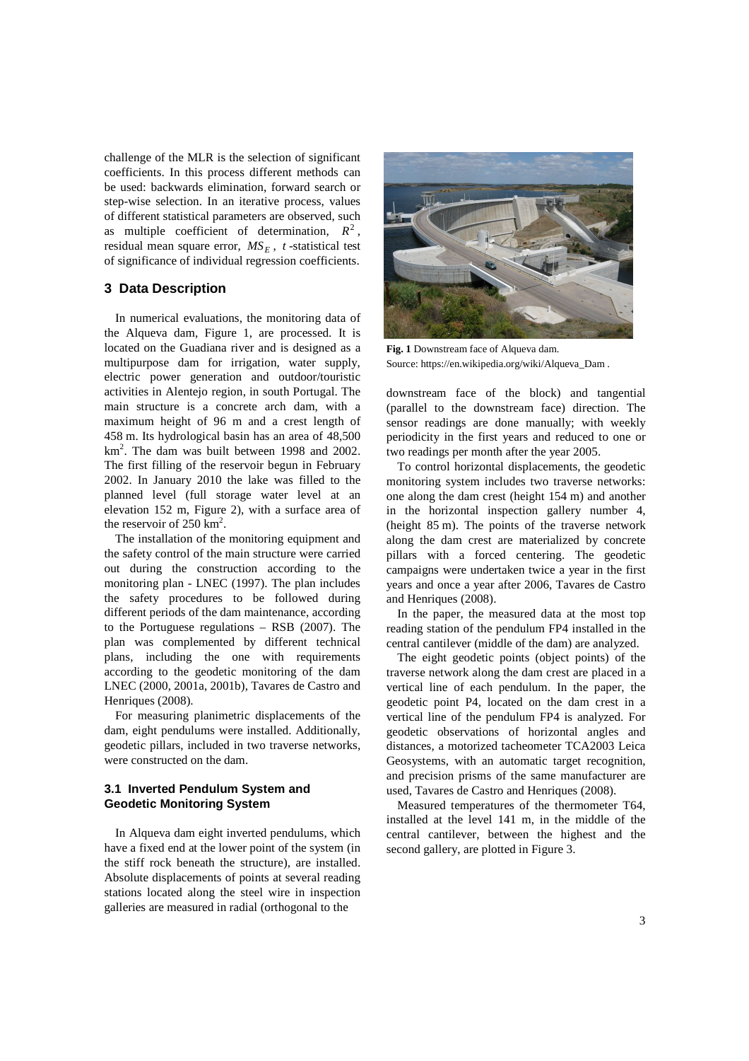challenge of the MLR is the selection of significant coefficients. In this process different methods can be used: backwards elimination, forward search or step-wise selection. In an iterative process, values of different statistical parameters are observed, such as multiple coefficient of determination,  $R^2$ , residual mean square error, *MS<sup>E</sup>* , *t* -statistical test of significance of individual regression coefficients.

### **3 Data Description**

In numerical evaluations, the monitoring data of the Alqueva dam, Figure 1, are processed. It is located on the Guadiana river and is designed as a multipurpose dam for irrigation, water supply, electric power generation and outdoor/touristic activities in Alentejo region, in south Portugal. The main structure is a concrete arch dam, with a maximum height of 96 m and a crest length of 458 m. Its hydrological basin has an area of 48,500 km<sup>2</sup>. The dam was built between 1998 and 2002. The first filling of the reservoir begun in February 2002. In January 2010 the lake was filled to the planned level (full storage water level at an elevation 152 m, Figure 2), with a surface area of the reservoir of  $250 \text{ km}^2$ .

The installation of the monitoring equipment and the safety control of the main structure were carried out during the construction according to the monitoring plan - LNEC (1997). The plan includes the safety procedures to be followed during different periods of the dam maintenance, according to the Portuguese regulations – RSB (2007). The plan was complemented by different technical plans, including the one with requirements according to the geodetic monitoring of the dam LNEC (2000, 2001a, 2001b), Tavares de Castro and Henriques (2008).

For measuring planimetric displacements of the dam, eight pendulums were installed. Additionally, geodetic pillars, included in two traverse networks, were constructed on the dam.

# **3.1 Inverted Pendulum System and Geodetic Monitoring System**

In Alqueva dam eight inverted pendulums, which have a fixed end at the lower point of the system (in the stiff rock beneath the structure), are installed. Absolute displacements of points at several reading stations located along the steel wire in inspection galleries are measured in radial (orthogonal to the



**Fig. 1** Downstream face of Alqueva dam. Source: https://en.wikipedia.org/wiki/Alqueva\_Dam .

downstream face of the block) and tangential (parallel to the downstream face) direction. The sensor readings are done manually; with weekly periodicity in the first years and reduced to one or two readings per month after the year 2005.

To control horizontal displacements, the geodetic monitoring system includes two traverse networks: one along the dam crest (height 154 m) and another in the horizontal inspection gallery number 4, (height 85 m). The points of the traverse network along the dam crest are materialized by concrete pillars with a forced centering. The geodetic campaigns were undertaken twice a year in the first years and once a year after 2006, Tavares de Castro and Henriques (2008).

In the paper, the measured data at the most top reading station of the pendulum FP4 installed in the central cantilever (middle of the dam) are analyzed.

The eight geodetic points (object points) of the traverse network along the dam crest are placed in a vertical line of each pendulum. In the paper, the geodetic point P4, located on the dam crest in a vertical line of the pendulum FP4 is analyzed. For geodetic observations of horizontal angles and distances, a motorized tacheometer TCA2003 Leica Geosystems, with an automatic target recognition, and precision prisms of the same manufacturer are used, Tavares de Castro and Henriques (2008).

Measured temperatures of the thermometer T64, installed at the level 141 m, in the middle of the central cantilever, between the highest and the second gallery, are plotted in Figure 3.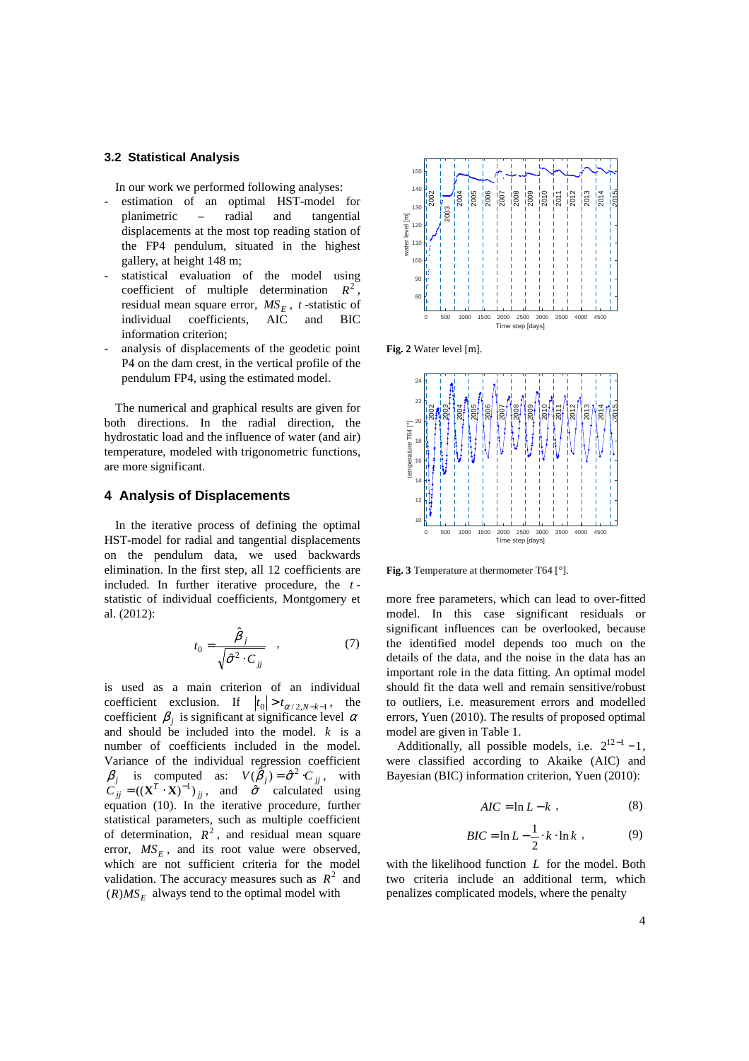## **3.2 Statistical Analysis**

In our work we performed following analyses:

- estimation of an optimal HST-model for planimetric – radial and tangential displacements at the most top reading station of the FP4 pendulum, situated in the highest gallery, at height 148 m;
- statistical evaluation of the model using coefficient of multiple determination  $R^2$ residual mean square error, *MS<sup>E</sup>* , *t* -statistic of individual coefficients, AIC and BIC information criterion;
- analysis of displacements of the geodetic point P4 on the dam crest, in the vertical profile of the pendulum FP4, using the estimated model.

The numerical and graphical results are given for both directions. In the radial direction, the hydrostatic load and the influence of water (and air) temperature, modeled with trigonometric functions, are more significant.

## **4 Analysis of Displacements**

In the iterative process of defining the optimal HST-model for radial and tangential displacements on the pendulum data, we used backwards elimination. In the first step, all 12 coefficients are included. In further iterative procedure, the *t* statistic of individual coefficients, Montgomery et al. (2012):

$$
t_0 = \frac{\hat{\beta}_j}{\sqrt{\hat{\sigma}^2 \cdot C_{jj}}} \quad , \tag{7}
$$

is used as a main criterion of an individual coefficient exclusion. If  $|t_0| > t_{\alpha/2, N-k-1}$ , the coefficient  $\beta_j$  is significant at significance level  $\alpha$ and should be included into the model. *k* is a number of coefficients included in the model. Variance of the individual regression coefficient  $\beta_j$  is computed as:  $V(\tilde{\beta}_j) = \hat{\sigma}^2 \cdot C_{jj}$ , with  $C_{jj} = ((\mathbf{X}^T \cdot \mathbf{X})^{-1})_{jj}$ , and  $\hat{\sigma}$  calculated using equation (10). In the iterative procedure, further statistical parameters, such as multiple coefficient of determination,  $R^2$ , and residual mean square error,  $MS_E$ , and its root value were observed, which are not sufficient criteria for the model validation. The accuracy measures such as  $R^2$  and  $(R)MS_E$  always tend to the optimal model with







**Fig. 3** Temperature at thermometer T64 [°].

more free parameters, which can lead to over-fitted model. In this case significant residuals or significant influences can be overlooked, because the identified model depends too much on the details of the data, and the noise in the data has an important role in the data fitting. An optimal model should fit the data well and remain sensitive/robust to outliers, i.e. measurement errors and modelled errors, Yuen (2010). The results of proposed optimal model are given in Table 1.

Additionally, all possible models, i.e.  $2^{12-1} - 1$ , were classified according to Akaike (AIC) and Bayesian (BIC) information criterion, Yuen (2010):

$$
AIC = \ln L - k \tag{8}
$$

$$
BIC = \ln L - \frac{1}{2} \cdot k \cdot \ln k \tag{9}
$$

with the likelihood function *L* for the model. Both two criteria include an additional term, which penalizes complicated models, where the penalty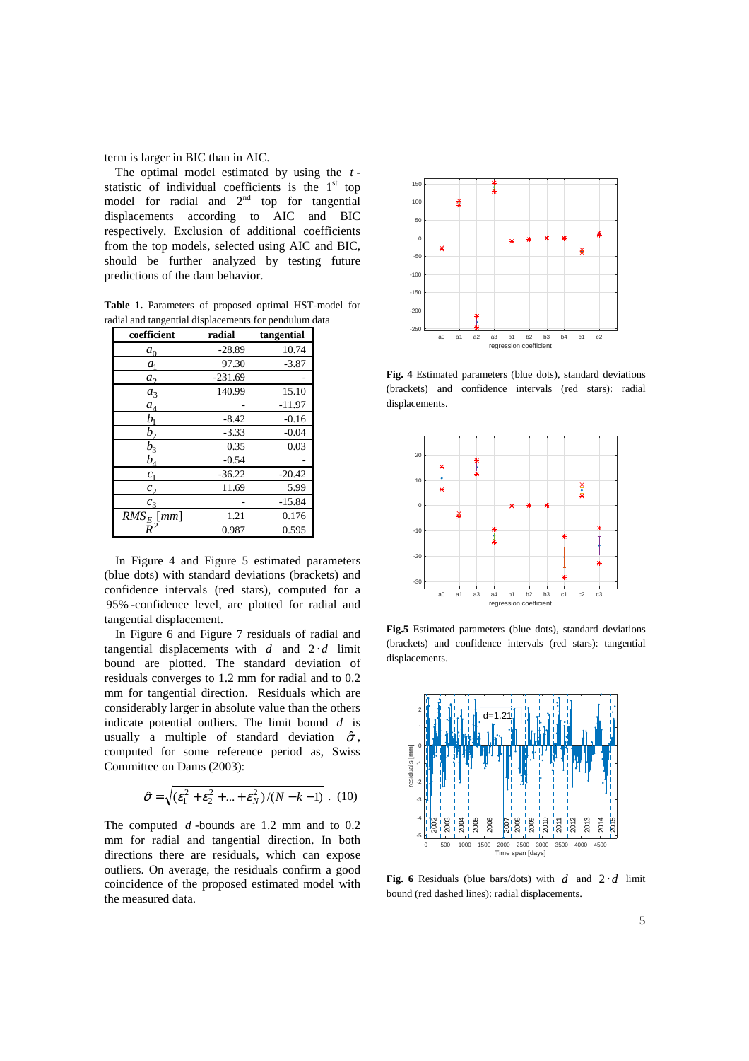term is larger in BIC than in AIC.

The optimal model estimated by using the *t* statistic of individual coefficients is the  $1<sup>st</sup>$  top model for radial and  $2<sup>nd</sup>$  top for tangential displacements according to AIC and BIC respectively. Exclusion of additional coefficients from the top models, selected using AIC and BIC, should be further analyzed by testing future predictions of the dam behavior.

**Table 1.** Parameters of proposed optimal HST-model for radial and tangential displacements for pendulum data

| coefficient                 | radial    | tangential |
|-----------------------------|-----------|------------|
| $a_0$                       | $-28.89$  | 10.74      |
| a <sub>1</sub>              | 97.30     | $-3.87$    |
| a <sub>2</sub>              | $-231.69$ |            |
| $a_3$                       | 140.99    | 15.10      |
| $a_4$                       |           | $-11.97$   |
| $b_{1}$                     | $-8.42$   | $-0.16$    |
| $b_{2}$                     | $-3.33$   | $-0.04$    |
| $b_3$                       | 0.35      | 0.03       |
| $b_{\scriptscriptstyle{A}}$ | $-0.54$   |            |
| $c_{1}$                     | $-36.22$  | $-20.42$   |
| c <sub>2</sub>              | 11.69     | 5.99       |
| c <sub>3</sub>              |           | $-15.84$   |
| $RMS_E$ [mm]                | 1.21      | 0.176      |
| R                           | 0.987     | 0.595      |

In Figure 4 and Figure 5 estimated parameters (blue dots) with standard deviations (brackets) and confidence intervals (red stars), computed for a 95% -confidence level, are plotted for radial and tangential displacement.

In Figure 6 and Figure 7 residuals of radial and tangential displacements with *d* and 2 ⋅ *d* limit bound are plotted. The standard deviation of residuals converges to 1.2 mm for radial and to 0.2 mm for tangential direction. Residuals which are considerably larger in absolute value than the others indicate potential outliers. The limit bound *d* is usually a multiple of standard deviation  $\hat{\sigma}$ , computed for some reference period as, Swiss Committee on Dams (2003):

$$
\hat{\sigma} = \sqrt{(\varepsilon_1^2 + \varepsilon_2^2 + ... + \varepsilon_N^2)/(N - k - 1)} \ . \ (10)
$$

The computed *d* -bounds are 1.2 mm and to 0.2 mm for radial and tangential direction. In both directions there are residuals, which can expose outliers. On average, the residuals confirm a good coincidence of the proposed estimated model with the measured data.



**Fig. 4** Estimated parameters (blue dots), standard deviations (brackets) and confidence intervals (red stars): radial displacements.



**Fig.5** Estimated parameters (blue dots), standard deviations (brackets) and confidence intervals (red stars): tangential displacements.



**Fig. 6** Residuals (blue bars/dots) with  $d$  and  $2 \cdot d$  limit bound (red dashed lines): radial displacements.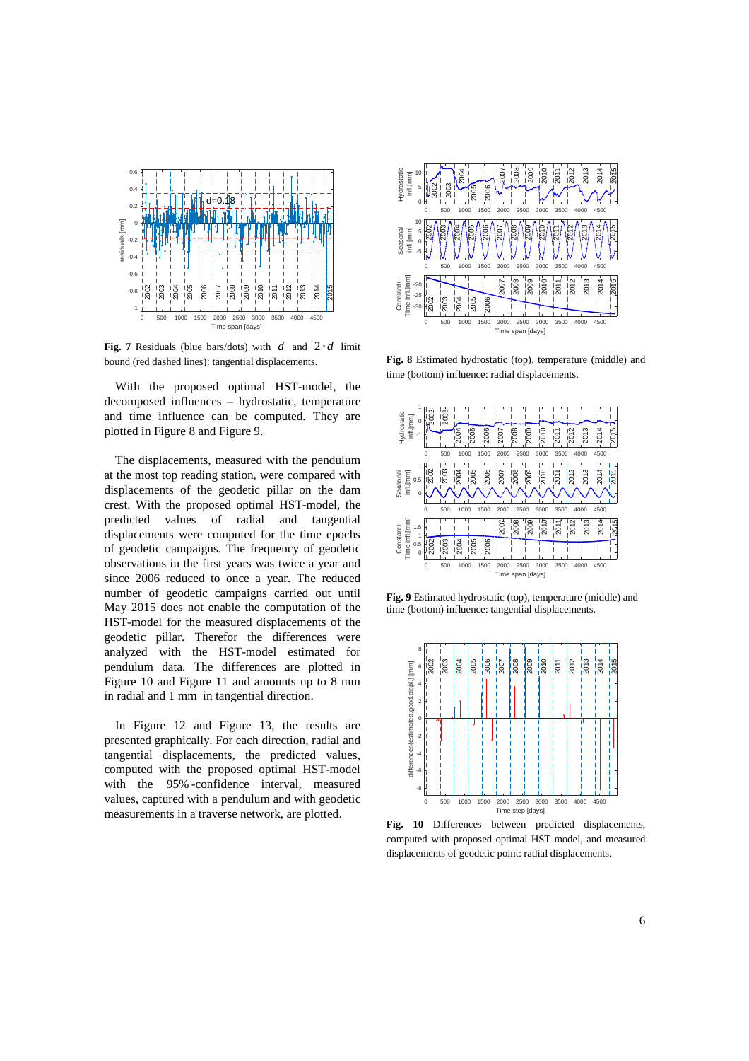

**Fig. 7** Residuals (blue bars/dots) with  $d$  and  $2 \cdot d$  limit bound (red dashed lines): tangential displacements.

With the proposed optimal HST-model, the decomposed influences – hydrostatic, temperature and time influence can be computed. They are plotted in Figure 8 and Figure 9.

The displacements, measured with the pendulum at the most top reading station, were compared with displacements of the geodetic pillar on the dam crest. With the proposed optimal HST-model, the predicted values of radial and tangential displacements were computed for the time epochs of geodetic campaigns. The frequency of geodetic observations in the first years was twice a year and since 2006 reduced to once a year. The reduced number of geodetic campaigns carried out until May 2015 does not enable the computation of the HST-model for the measured displacements of the geodetic pillar. Therefor the differences were analyzed with the HST-model estimated for pendulum data. The differences are plotted in Figure 10 and Figure 11 and amounts up to 8 mm in radial and 1 mm in tangential direction.

In Figure 12 and Figure 13, the results are presented graphically. For each direction, radial and tangential displacements, the predicted values, computed with the proposed optimal HST-model with the 95% -confidence interval, measured values, captured with a pendulum and with geodetic measurements in a traverse network, are plotted.



**Fig. 8** Estimated hydrostatic (top), temperature (middle) and time (bottom) influence: radial displacements.



**Fig. 9** Estimated hydrostatic (top), temperature (middle) and time (bottom) influence: tangential displacements.



Fig. 10 Differences between predicted displacements, computed with proposed optimal HST-model, and measured displacements of geodetic point: radial displacements.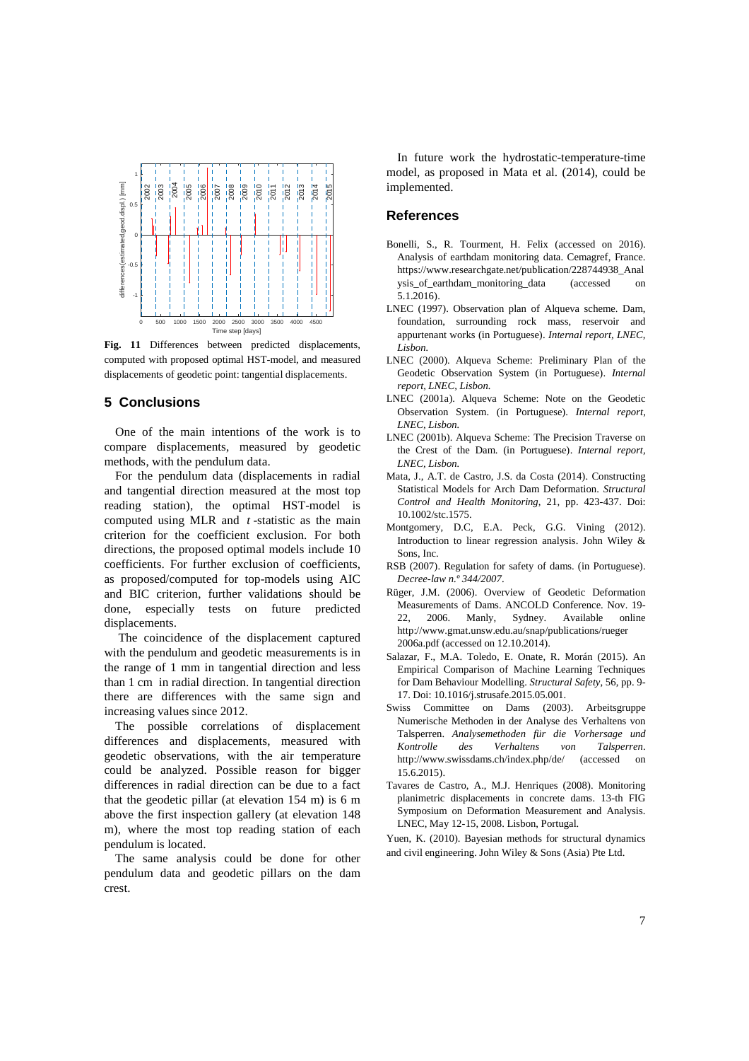

**Fig. 11** Differences between predicted displacements, computed with proposed optimal HST-model, and measured displacements of geodetic point: tangential displacements.

#### **5 Conclusions**

One of the main intentions of the work is to compare displacements, measured by geodetic methods, with the pendulum data.

For the pendulum data (displacements in radial and tangential direction measured at the most top reading station), the optimal HST-model is computed using MLR and *t* -statistic as the main criterion for the coefficient exclusion. For both directions, the proposed optimal models include 10 coefficients. For further exclusion of coefficients, as proposed/computed for top-models using AIC and BIC criterion, further validations should be done, especially tests on future predicted displacements.

 The coincidence of the displacement captured with the pendulum and geodetic measurements is in the range of 1 mm in tangential direction and less than 1 cm in radial direction. In tangential direction there are differences with the same sign and increasing values since 2012.

The possible correlations of displacement differences and displacements, measured with geodetic observations, with the air temperature could be analyzed. Possible reason for bigger differences in radial direction can be due to a fact that the geodetic pillar (at elevation 154 m) is 6 m above the first inspection gallery (at elevation 148 m), where the most top reading station of each pendulum is located.

The same analysis could be done for other pendulum data and geodetic pillars on the dam crest.

In future work the hydrostatic-temperature-time model, as proposed in Mata et al. (2014), could be implemented.

# **References**

- Bonelli, S., R. Tourment, H. Felix (accessed on 2016). Analysis of earthdam monitoring data. Cemagref, France. https://www.researchgate.net/publication/228744938\_Anal ysis\_of\_earthdam\_monitoring\_data (accessed on 5.1.2016).
- LNEC (1997). Observation plan of Alqueva scheme. Dam, foundation, surrounding rock mass, reservoir and appurtenant works (in Portuguese). *Internal report, LNEC, Lisbon.*
- LNEC (2000). Alqueva Scheme: Preliminary Plan of the Geodetic Observation System (in Portuguese). *Internal report, LNEC, Lisbon.*
- LNEC (2001a). Alqueva Scheme: Note on the Geodetic Observation System. (in Portuguese). *Internal report, LNEC, Lisbon.*
- LNEC (2001b). Alqueva Scheme: The Precision Traverse on the Crest of the Dam. (in Portuguese). *Internal report, LNEC, Lisbon.*
- Mata, J., A.T. de Castro, J.S. da Costa (2014). Constructing Statistical Models for Arch Dam Deformation. *Structural Control and Health Monitoring*, 21, pp. 423-437. Doi: 10.1002/stc.1575.
- Montgomery, D.C, E.A. Peck, G.G. Vining (2012). Introduction to linear regression analysis. John Wiley & Sons, Inc.
- RSB (2007). Regulation for safety of dams. (in Portuguese). *Decree-law n.º 344/2007*.
- Rüger, J.M. (2006). Overview of Geodetic Deformation Measurements of Dams. ANCOLD Conference. Nov. 19- 22, 2006. Manly, Sydney. Available online http://www.gmat.unsw.edu.au/snap/publications/rueger 2006a.pdf (accessed on 12.10.2014).
- Salazar, F., M.A. Toledo, E. Onate, R. Morán (2015). An Empirical Comparison of Machine Learning Techniques for Dam Behaviour Modelling. *Structural Safety*, 56, pp. 9- 17. Doi: 10.1016/j.strusafe.2015.05.001.
- Swiss Committee on Dams (2003). Arbeitsgruppe Numerische Methoden in der Analyse des Verhaltens von Talsperren. *Analysemethoden für die Vorhersage und Kontrolle des Verhaltens von Talsperren*. http://www.swissdams.ch/index.php/de/ (accessed on 15.6.2015).
- Tavares de Castro, A., M.J. Henriques (2008). Monitoring planimetric displacements in concrete dams. 13-th FIG Symposium on Deformation Measurement and Analysis. LNEC, May 12-15, 2008. Lisbon, Portugal.
- Yuen, K. (2010). Bayesian methods for structural dynamics and civil engineering. John Wiley & Sons (Asia) Pte Ltd.